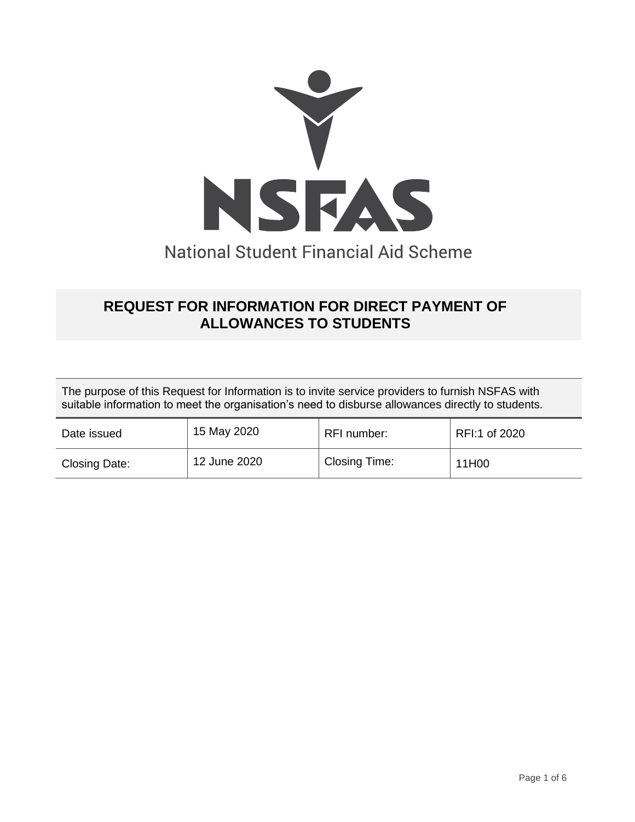

# **REQUEST FOR INFORMATION FOR DIRECT PAYMENT OF ALLOWANCES TO STUDENTS**

The purpose of this Request for Information is to invite service providers to furnish NSFAS with suitable information to meet the organisation's need to disburse allowances directly to students.

| Date issued   | 15 May 2020  | RFI number:          | RFI:1 of 2020 |
|---------------|--------------|----------------------|---------------|
| Closing Date: | 12 June 2020 | <b>Closing Time:</b> | 11H00         |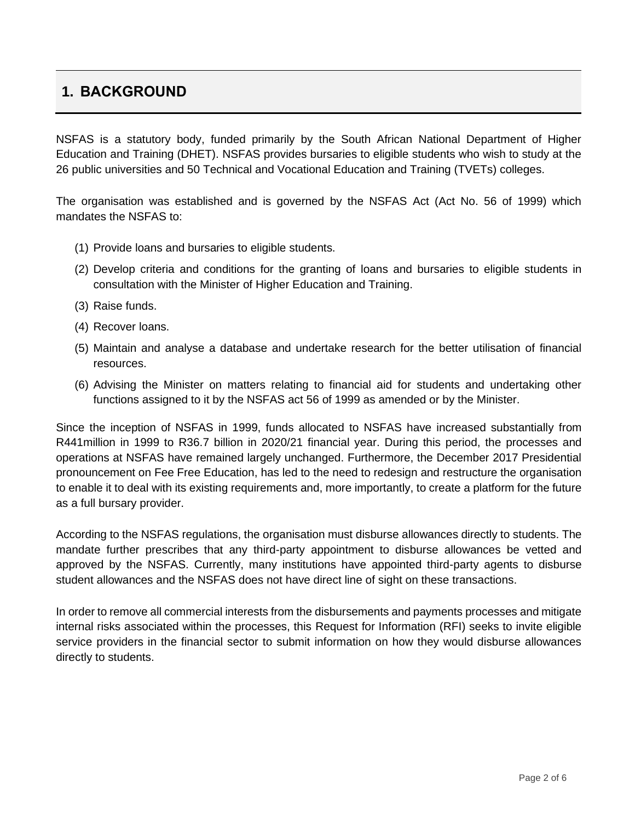## **1. BACKGROUND**

NSFAS is a statutory body, funded primarily by the South African National Department of Higher Education and Training (DHET). NSFAS provides bursaries to eligible students who wish to study at the 26 public universities and 50 Technical and Vocational Education and Training (TVETs) colleges.

The organisation was established and is governed by the NSFAS Act (Act No. 56 of 1999) which mandates the NSFAS to:

- (1) Provide loans and bursaries to eligible students.
- (2) Develop criteria and conditions for the granting of loans and bursaries to eligible students in consultation with the Minister of Higher Education and Training.
- (3) Raise funds.
- (4) Recover loans.
- (5) Maintain and analyse a database and undertake research for the better utilisation of financial resources.
- (6) Advising the Minister on matters relating to financial aid for students and undertaking other functions assigned to it by the NSFAS act 56 of 1999 as amended or by the Minister.

Since the inception of NSFAS in 1999, funds allocated to NSFAS have increased substantially from R441million in 1999 to R36.7 billion in 2020/21 financial year. During this period, the processes and operations at NSFAS have remained largely unchanged. Furthermore, the December 2017 Presidential pronouncement on Fee Free Education, has led to the need to redesign and restructure the organisation to enable it to deal with its existing requirements and, more importantly, to create a platform for the future as a full bursary provider.

According to the NSFAS regulations, the organisation must disburse allowances directly to students. The mandate further prescribes that any third-party appointment to disburse allowances be vetted and approved by the NSFAS. Currently, many institutions have appointed third-party agents to disburse student allowances and the NSFAS does not have direct line of sight on these transactions.

In order to remove all commercial interests from the disbursements and payments processes and mitigate internal risks associated within the processes, this Request for Information (RFI) seeks to invite eligible service providers in the financial sector to submit information on how they would disburse allowances directly to students.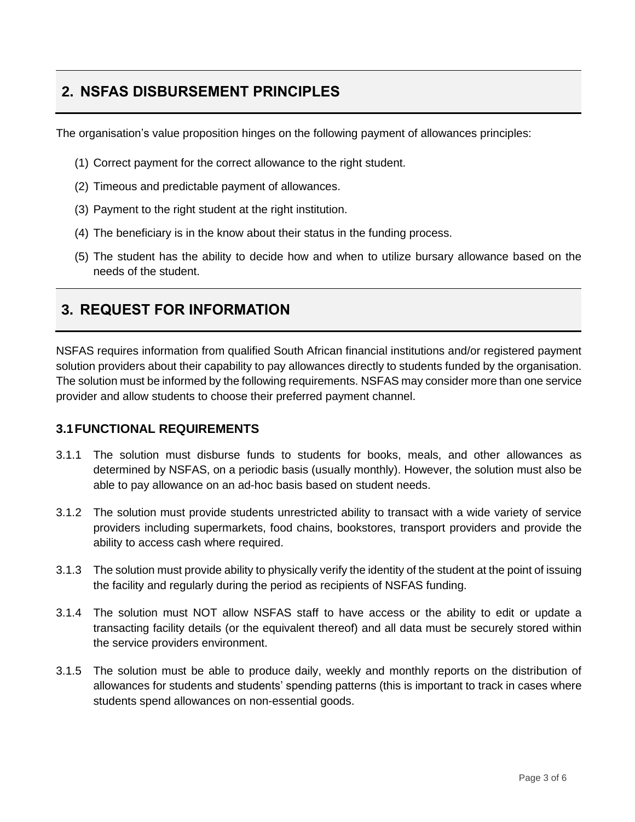# **2. NSFAS DISBURSEMENT PRINCIPLES**

The organisation's value proposition hinges on the following payment of allowances principles:

- (1) Correct payment for the correct allowance to the right student.
- (2) Timeous and predictable payment of allowances.
- (3) Payment to the right student at the right institution.
- (4) The beneficiary is in the know about their status in the funding process.
- (5) The student has the ability to decide how and when to utilize bursary allowance based on the needs of the student.

### **3. REQUEST FOR INFORMATION**

NSFAS requires information from qualified South African financial institutions and/or registered payment solution providers about their capability to pay allowances directly to students funded by the organisation. The solution must be informed by the following requirements. NSFAS may consider more than one service provider and allow students to choose their preferred payment channel.

#### **3.1FUNCTIONAL REQUIREMENTS**

- 3.1.1 The solution must disburse funds to students for books, meals, and other allowances as determined by NSFAS, on a periodic basis (usually monthly). However, the solution must also be able to pay allowance on an ad-hoc basis based on student needs.
- 3.1.2 The solution must provide students unrestricted ability to transact with a wide variety of service providers including supermarkets, food chains, bookstores, transport providers and provide the ability to access cash where required.
- 3.1.3 The solution must provide ability to physically verify the identity of the student at the point of issuing the facility and regularly during the period as recipients of NSFAS funding.
- 3.1.4 The solution must NOT allow NSFAS staff to have access or the ability to edit or update a transacting facility details (or the equivalent thereof) and all data must be securely stored within the service providers environment.
- 3.1.5 The solution must be able to produce daily, weekly and monthly reports on the distribution of allowances for students and students' spending patterns (this is important to track in cases where students spend allowances on non-essential goods.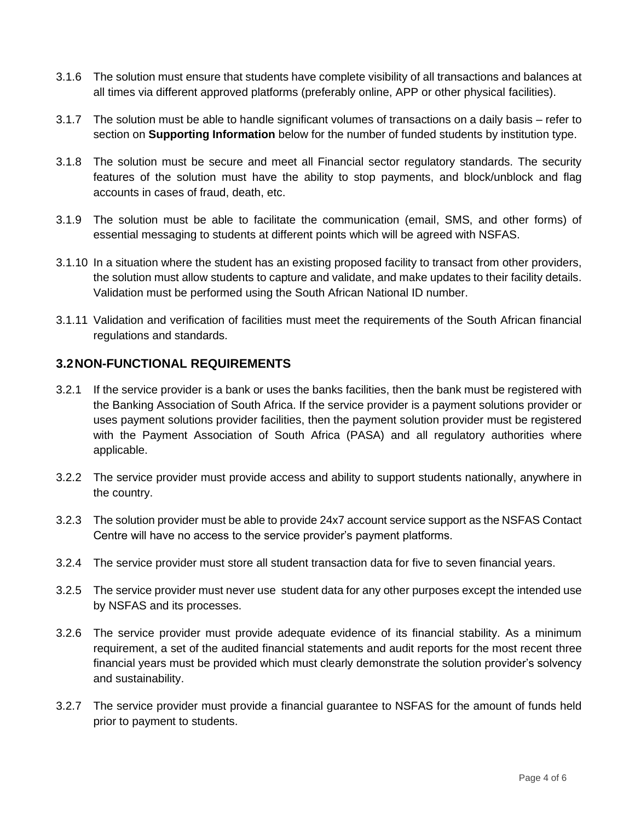- 3.1.6 The solution must ensure that students have complete visibility of all transactions and balances at all times via different approved platforms (preferably online, APP or other physical facilities).
- 3.1.7 The solution must be able to handle significant volumes of transactions on a daily basis refer to section on **Supporting Information** below for the number of funded students by institution type.
- 3.1.8 The solution must be secure and meet all Financial sector regulatory standards. The security features of the solution must have the ability to stop payments, and block/unblock and flag accounts in cases of fraud, death, etc.
- 3.1.9 The solution must be able to facilitate the communication (email, SMS, and other forms) of essential messaging to students at different points which will be agreed with NSFAS.
- 3.1.10 In a situation where the student has an existing proposed facility to transact from other providers, the solution must allow students to capture and validate, and make updates to their facility details. Validation must be performed using the South African National ID number.
- 3.1.11 Validation and verification of facilities must meet the requirements of the South African financial regulations and standards.

### **3.2NON-FUNCTIONAL REQUIREMENTS**

- 3.2.1 If the service provider is a bank or uses the banks facilities, then the bank must be registered with the Banking Association of South Africa. If the service provider is a payment solutions provider or uses payment solutions provider facilities, then the payment solution provider must be registered with the Payment Association of South Africa (PASA) and all regulatory authorities where applicable.
- 3.2.2 The service provider must provide access and ability to support students nationally, anywhere in the country.
- 3.2.3 The solution provider must be able to provide 24x7 account service support as the NSFAS Contact Centre will have no access to the service provider's payment platforms.
- 3.2.4 The service provider must store all student transaction data for five to seven financial years.
- 3.2.5 The service provider must never use student data for any other purposes except the intended use by NSFAS and its processes.
- 3.2.6 The service provider must provide adequate evidence of its financial stability. As a minimum requirement, a set of the audited financial statements and audit reports for the most recent three financial years must be provided which must clearly demonstrate the solution provider's solvency and sustainability.
- 3.2.7 The service provider must provide a financial guarantee to NSFAS for the amount of funds held prior to payment to students.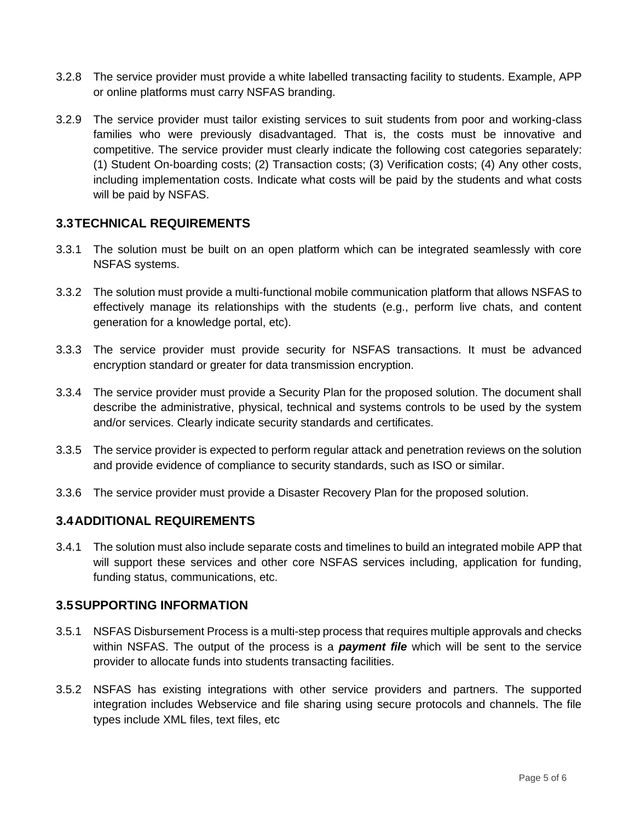- 3.2.8 The service provider must provide a white labelled transacting facility to students. Example, APP or online platforms must carry NSFAS branding.
- 3.2.9 The service provider must tailor existing services to suit students from poor and working-class families who were previously disadvantaged. That is, the costs must be innovative and competitive. The service provider must clearly indicate the following cost categories separately: (1) Student On-boarding costs; (2) Transaction costs; (3) Verification costs; (4) Any other costs, including implementation costs. Indicate what costs will be paid by the students and what costs will be paid by NSFAS.

#### **3.3TECHNICAL REQUIREMENTS**

- 3.3.1 The solution must be built on an open platform which can be integrated seamlessly with core NSFAS systems.
- 3.3.2 The solution must provide a multi-functional mobile communication platform that allows NSFAS to effectively manage its relationships with the students (e.g., perform live chats, and content generation for a knowledge portal, etc).
- 3.3.3 The service provider must provide security for NSFAS transactions. It must be advanced encryption standard or greater for data transmission encryption.
- 3.3.4 The service provider must provide a Security Plan for the proposed solution. The document shall describe the administrative, physical, technical and systems controls to be used by the system and/or services. Clearly indicate security standards and certificates.
- 3.3.5 The service provider is expected to perform regular attack and penetration reviews on the solution and provide evidence of compliance to security standards, such as ISO or similar.
- 3.3.6 The service provider must provide a Disaster Recovery Plan for the proposed solution.

#### **3.4ADDITIONAL REQUIREMENTS**

3.4.1 The solution must also include separate costs and timelines to build an integrated mobile APP that will support these services and other core NSFAS services including, application for funding, funding status, communications, etc.

#### **3.5SUPPORTING INFORMATION**

- 3.5.1 NSFAS Disbursement Process is a multi-step process that requires multiple approvals and checks within NSFAS. The output of the process is a *payment file* which will be sent to the service provider to allocate funds into students transacting facilities.
- 3.5.2 NSFAS has existing integrations with other service providers and partners. The supported integration includes Webservice and file sharing using secure protocols and channels. The file types include XML files, text files, etc